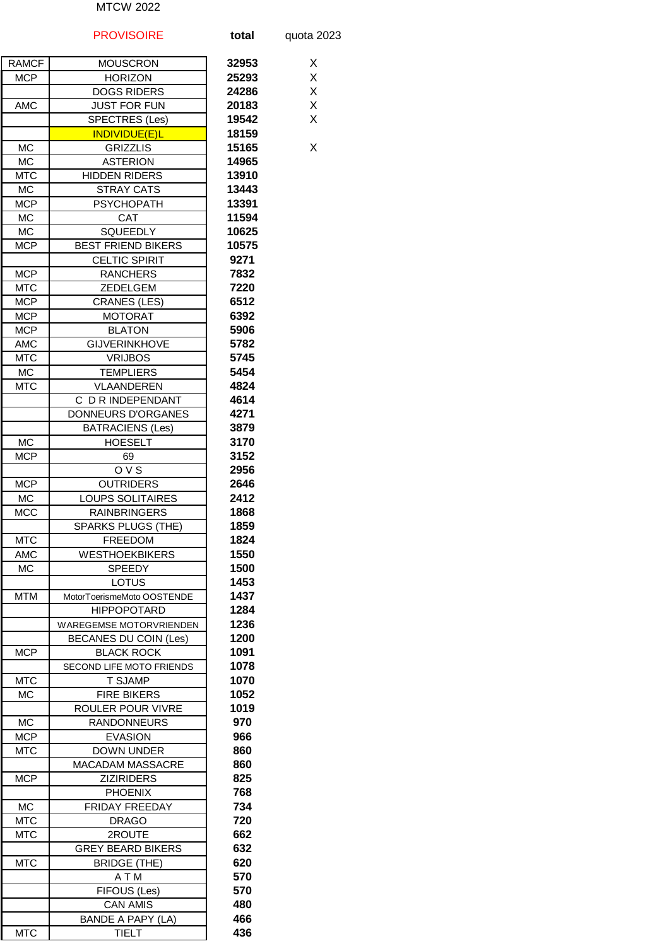## MTCW 2022

|                          | <b>PROVISOIRE</b>                                | total        | quota 2023 |
|--------------------------|--------------------------------------------------|--------------|------------|
| <b>RAMCF</b>             | <b>MOUSCRON</b>                                  | 32953        | Χ          |
| <b>MCP</b>               | <b>HORIZON</b>                                   | 25293        | Χ          |
|                          | <b>DOGS RIDERS</b>                               | 24286        | X          |
| <b>AMC</b>               | <b>JUST FOR FUN</b>                              | 20183        | X          |
|                          | SPECTRES (Les)                                   | 19542        | X          |
|                          | <b>INDIVIDUE(E)L</b>                             | 18159        |            |
| <b>MC</b>                | <b>GRIZZLIS</b>                                  | 15165        | Х          |
| <b>MC</b>                | <b>ASTERION</b>                                  | 14965        |            |
| <b>MTC</b>               | <b>HIDDEN RIDERS</b>                             | 13910        |            |
| <b>MC</b>                | <b>STRAY CATS</b>                                | 13443        |            |
| <b>MCP</b>               | <b>PSYCHOPATH</b>                                | 13391        |            |
| МC                       | <b>CAT</b>                                       | 11594        |            |
| <b>MC</b>                | SQUEEDLY                                         | 10625        |            |
| <b>MCP</b>               | <b>BEST FRIEND BIKERS</b>                        | 10575        |            |
|                          | <b>CELTIC SPIRIT</b>                             | 9271         |            |
| <b>MCP</b>               | <b>RANCHERS</b>                                  | 7832         |            |
| <b>MTC</b>               | <b>ZEDELGEM</b>                                  | 7220<br>6512 |            |
| <b>MCP</b><br><b>MCP</b> | <b>CRANES (LES)</b><br><b>MOTORAT</b>            | 6392         |            |
| <b>MCP</b>               | <b>BLATON</b>                                    | 5906         |            |
| AMC                      | <b>GIJVERINKHOVE</b>                             | 5782         |            |
| <b>MTC</b>               | <b>VRIJBOS</b>                                   | 5745         |            |
| МC                       | <b>TEMPLIERS</b>                                 | 5454         |            |
| <b>MTC</b>               | VLAANDEREN                                       | 4824         |            |
|                          | C D R INDEPENDANT                                | 4614         |            |
|                          | DONNEURS D'ORGANES                               | 4271         |            |
|                          | <b>BATRACIENS (Les)</b>                          | 3879         |            |
| МC                       | <b>HOESELT</b>                                   | 3170         |            |
| <b>MCP</b>               | 69                                               | 3152         |            |
|                          | OVS                                              | 2956         |            |
| <b>MCP</b>               | <b>OUTRIDERS</b>                                 | 2646         |            |
| МC                       | <b>LOUPS SOLITAIRES</b>                          | 2412         |            |
| <b>MCC</b>               | <b>RAINBRINGERS</b>                              | 1868         |            |
|                          | SPARKS PLUGS (THE)                               | 1859         |            |
| <b>MTC</b>               | <b>FREEDOM</b>                                   | 1824         |            |
| AMC                      | <b>WESTHOEKBIKERS</b>                            | 1550         |            |
| МC                       | <b>SPEEDY</b>                                    | 1500         |            |
| <b>MTM</b>               | LOTUS                                            | 1453<br>1437 |            |
|                          | MotorToerismeMoto OOSTENDE<br><b>HIPPOPOTARD</b> | 1284         |            |
|                          | WAREGEMSE MOTORVRIENDEN                          | 1236         |            |
|                          | <b>BECANES DU COIN (Les)</b>                     | 1200         |            |
| <b>MCP</b>               | <b>BLACK ROCK</b>                                | 1091         |            |
|                          | SECOND LIFE MOTO FRIENDS                         | 1078         |            |
| <b>MTC</b>               | <b>T SJAMP</b>                                   | 1070         |            |
| МC                       | <b>FIRE BIKERS</b>                               | 1052         |            |
|                          | ROULER POUR VIVRE                                | 1019         |            |
| MC                       | <b>RANDONNEURS</b>                               | 970          |            |
| <b>MCP</b>               | <b>EVASION</b>                                   | 966          |            |
| <b>MTC</b>               | <b>DOWN UNDER</b>                                | 860          |            |
|                          | <b>MACADAM MASSACRE</b>                          | 860          |            |
| <b>MCP</b>               | <b>ZIZIRIDERS</b>                                | 825          |            |
|                          | <b>PHOENIX</b>                                   | 768          |            |
| МC                       | <b>FRIDAY FREEDAY</b>                            | 734          |            |
| <b>MTC</b>               | <b>DRAGO</b>                                     | 720<br>662   |            |
| <b>MTC</b>               | 2ROUTE<br><b>GREY BEARD BIKERS</b>               | 632          |            |
| <b>MTC</b>               | <b>BRIDGE (THE)</b>                              | 620          |            |
|                          | A T M                                            | 570          |            |
|                          | FIFOUS (Les)                                     | 570          |            |
|                          | <b>CAN AMIS</b>                                  | 480          |            |
|                          | BANDE A PAPY (LA)                                | 466          |            |
| <b>MTC</b>               | <b>TIELT</b>                                     | 436          |            |
|                          |                                                  |              |            |